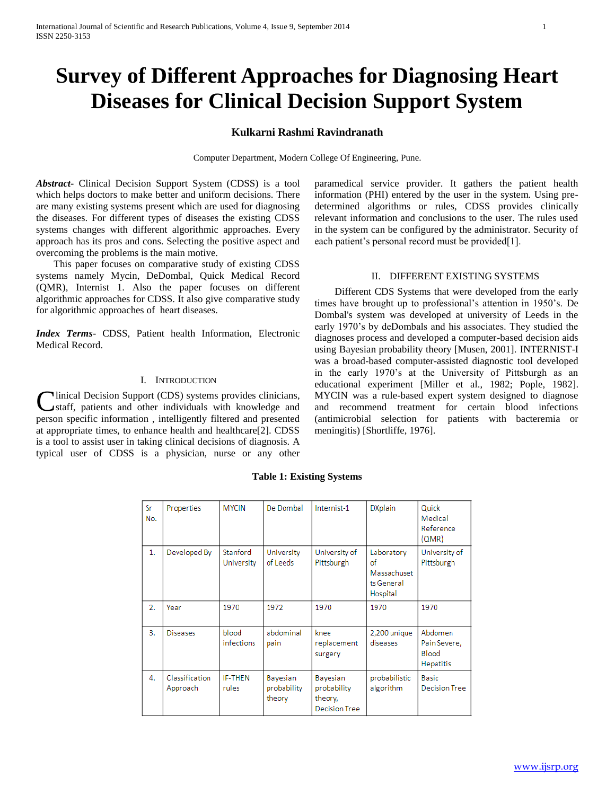# **Survey of Different Approaches for Diagnosing Heart Diseases for Clinical Decision Support System**

# **Kulkarni Rashmi Ravindranath**

Computer Department, Modern College Of Engineering, Pune.

*Abstract***-** Clinical Decision Support System (CDSS) is a tool which helps doctors to make better and uniform decisions. There are many existing systems present which are used for diagnosing the diseases. For different types of diseases the existing CDSS systems changes with different algorithmic approaches. Every approach has its pros and cons. Selecting the positive aspect and overcoming the problems is the main motive.

 This paper focuses on comparative study of existing CDSS systems namely Mycin, DeDombal, Quick Medical Record (QMR), Internist 1. Also the paper focuses on different algorithmic approaches for CDSS. It also give comparative study for algorithmic approaches of heart diseases.

*Index Terms*- CDSS, Patient health Information, Electronic Medical Record.

## I. INTRODUCTION

linical Decision Support (CDS) systems provides clinicians, staff, patients and other individuals with knowledge and **C**linical Decision Support (CDS) systems provides clinicians, staff, patients and other individuals with knowledge and person specific information, intelligently filtered and presented at appropriate times, to enhance health and healthcare[2]. CDSS is a tool to assist user in taking clinical decisions of diagnosis. A typical user of CDSS is a physician, nurse or any other

paramedical service provider. It gathers the patient health information (PHI) entered by the user in the system. Using predetermined algorithms or rules, CDSS provides clinically relevant information and conclusions to the user. The rules used in the system can be configured by the administrator. Security of each patient's personal record must be provided[1].

## II. DIFFERENT EXISTING SYSTEMS

 Different CDS Systems that were developed from the early times have brought up to professional's attention in 1950's. De Dombal's system was developed at university of Leeds in the early 1970's by deDombals and his associates. They studied the diagnoses process and developed a computer-based decision aids using Bayesian probability theory [Musen, 2001]. INTERNIST-I was a broad-based computer-assisted diagnostic tool developed in the early 1970's at the University of Pittsburgh as an educational experiment [Miller et al., 1982; Pople, 1982]. MYCIN was a rule-based expert system designed to diagnose and recommend treatment for certain blood infections (antimicrobial selection for patients with bacteremia or meningitis) [Shortliffe, 1976].

| Sr<br>No. | Properties                 | <b>MYCIN</b>               | De Dombal                         | Internist-1                                                | <b>DXplain</b>                                            | Quick<br>Medical<br>Reference<br>(QMR)               |
|-----------|----------------------------|----------------------------|-----------------------------------|------------------------------------------------------------|-----------------------------------------------------------|------------------------------------------------------|
| 1.        | Developed By               | Stanford<br>University     | University<br>of Leeds            | University of<br>Pittsburgh                                | Laboratory<br>of<br>Massachuset<br>ts General<br>Hospital | University of<br>Pittsburgh                          |
| 2.        | Year                       | 1970                       | 1972                              | 1970                                                       | 1970                                                      | 1970                                                 |
| 3.        | <b>Diseases</b>            | blood<br><i>infections</i> | abdominal<br>pain                 | knee<br>replacement<br>surgery                             | 2,200 unique<br>diseases                                  | Abdomen<br>Pain Severe,<br><b>Blood</b><br>Hepatitis |
| 4.        | Classification<br>Approach | <b>IF-THEN</b><br>rules    | Bayesian<br>probability<br>theory | Bayesian<br>probability<br>theory,<br><b>Decision Tree</b> | probabilistic<br>algorithm                                | Basic<br><b>Decision Tree</b>                        |

**Table 1: Existing Systems**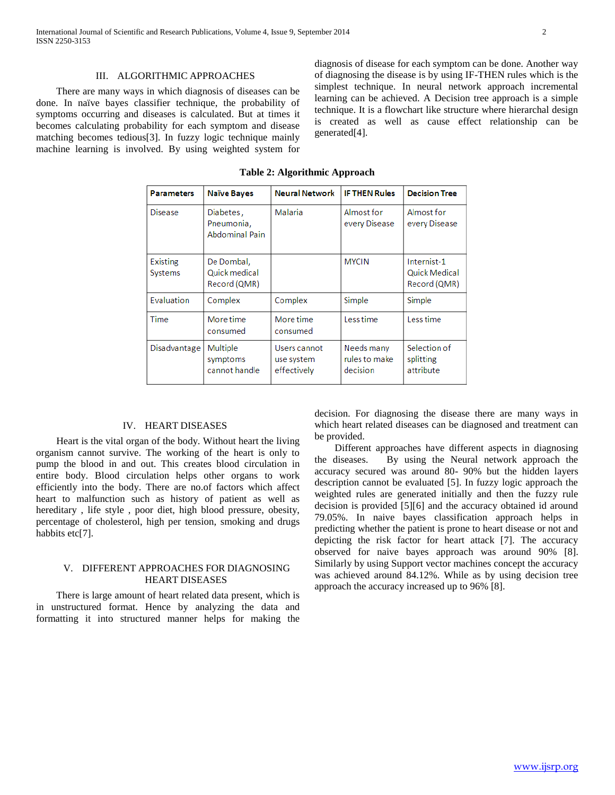There are many ways in which diagnosis of diseases can be done. In naïve bayes classifier technique, the probability of symptoms occurring and diseases is calculated. But at times it becomes calculating probability for each symptom and disease matching becomes tedious[3]. In fuzzy logic technique mainly machine learning is involved. By using weighted system for

diagnosis of disease for each symptom can be done. Another way of diagnosing the disease is by using IF-THEN rules which is the simplest technique. In neural network approach incremental learning can be achieved. A Decision tree approach is a simple technique. It is a flowchart like structure where hierarchal design is created as well as cause effect relationship can be generated[4].

**Table 2: Algorithmic Approach**

| <b>Parameters</b>          | <b>Naïve Bayes</b>                               | <b>Neural Network</b>                     | <b>IF THEN Rules</b>                    | <b>Decision Tree</b>                                |
|----------------------------|--------------------------------------------------|-------------------------------------------|-----------------------------------------|-----------------------------------------------------|
| <b>Disease</b>             | Diabetes,<br>Pneumonia,<br><b>Abdominal Pain</b> | Malaria                                   | Almost for<br>every Disease             | Almost for<br>every Disease                         |
| Existing<br><b>Systems</b> | De Dombal,<br>Quick medical<br>Record (QMR)      |                                           | <b>MYCIN</b>                            | Internist-1<br><b>Quick Medical</b><br>Record (QMR) |
| Evaluation                 | Complex                                          | Complex                                   | Simple                                  | Simple                                              |
| Time                       | More time<br>consumed                            | More time<br>consumed                     | Less time                               | Less time                                           |
| Disadvantage               | Multiple<br>symptoms<br>cannot handle            | Users cannot<br>use system<br>effectively | Needs many<br>rules to make<br>decision | Selection of<br>splitting<br>attribute              |

## IV. HEART DISEASES

 Heart is the vital organ of the body. Without heart the living organism cannot survive. The working of the heart is only to pump the blood in and out. This creates blood circulation in entire body. Blood circulation helps other organs to work efficiently into the body. There are no.of factors which affect heart to malfunction such as history of patient as well as hereditary , life style , poor diet, high blood pressure, obesity, percentage of cholesterol, high per tension, smoking and drugs habbits etc[7].

## V. DIFFERENT APPROACHES FOR DIAGNOSING HEART DISEASES

 There is large amount of heart related data present, which is in unstructured format. Hence by analyzing the data and formatting it into structured manner helps for making the decision. For diagnosing the disease there are many ways in which heart related diseases can be diagnosed and treatment can be provided.

 Different approaches have different aspects in diagnosing the diseases. By using the Neural network approach the accuracy secured was around 80- 90% but the hidden layers description cannot be evaluated [5]. In fuzzy logic approach the weighted rules are generated initially and then the fuzzy rule decision is provided [5][6] and the accuracy obtained id around 79.05%. In naive bayes classification approach helps in predicting whether the patient is prone to heart disease or not and depicting the risk factor for heart attack [7]. The accuracy observed for naive bayes approach was around 90% [8]. Similarly by using Support vector machines concept the accuracy was achieved around 84.12%. While as by using decision tree approach the accuracy increased up to 96% [8].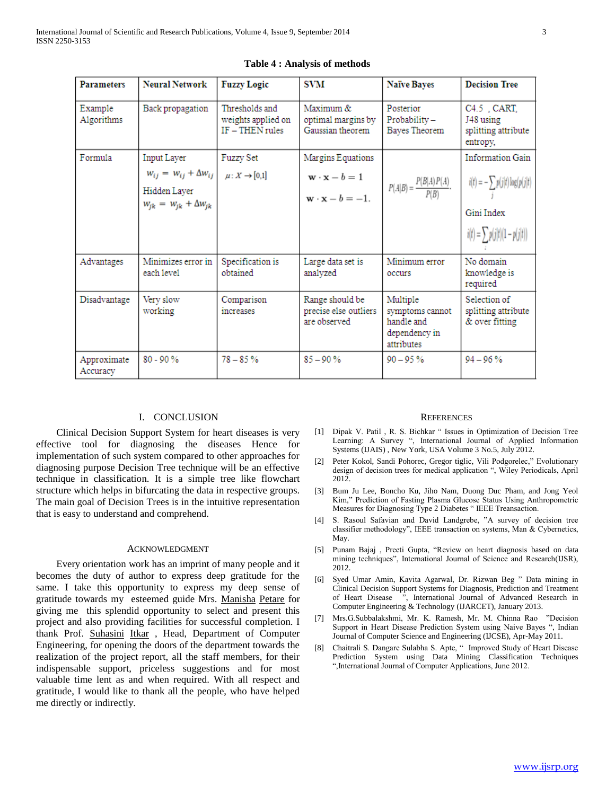| <b>Parameters</b>       | <b>Neural Network</b>                                                                                                    | <b>Fuzzy Logic</b>                                        | <b>SVM</b>                                                                                            | <b>Naïve Bayes</b>                                                       | <b>Decision Tree</b>                                                                                            |
|-------------------------|--------------------------------------------------------------------------------------------------------------------------|-----------------------------------------------------------|-------------------------------------------------------------------------------------------------------|--------------------------------------------------------------------------|-----------------------------------------------------------------------------------------------------------------|
| Example<br>Algorithms   | Back propagation                                                                                                         | Thresholds and<br>weights applied on<br>$IF - THEN$ rules | Maximum &<br>optimal margins by<br>Gaussian theorem                                                   | Posterior<br>Probability-<br>Bayes Theorem                               | C4.5, CART,<br>J48 using<br>splitting attribute<br>entropy,                                                     |
| Formula                 | Input Layer<br>$W_{ij} = W_{ij} + \Delta W_{ij}$ $\mu: X \to [0,1]$<br>Hidden Layer<br>$w_{jk} = w_{jk} + \Delta w_{jk}$ | <b>Fuzzy Set</b>                                          | Margins Equations<br>$\mathbf{w} \cdot \mathbf{x} - b = 1$<br>$\mathbf{w} \cdot \mathbf{x} - b = -1.$ | $P(A B) = \frac{P(B A) P(A)}{P(B)}$ .                                    | <b>Information Gain</b><br>$i(t) = -\sum p(j t) \log(p(j t))$<br>Gini Index<br>$i(t) = \sum p(j t)(1 - p(j t))$ |
| Advantages              | Minimizes error in<br>each level                                                                                         | Specification is<br>obtained                              | Large data set is<br>analyzed                                                                         | Minimum error<br>occurs                                                  | No domain<br>knowledge is<br>required                                                                           |
| Disadvantage            | Very slow<br>working                                                                                                     | Comparison<br>increases                                   | Range should be<br>precise else outliers<br>are observed                                              | Multiple<br>symptoms cannot<br>handle and<br>dependency in<br>attributes | Selection of<br>splitting attribute<br>& over fitting                                                           |
| Approximate<br>Accuracy | $80 - 90%$                                                                                                               | $78 - 85%$                                                | $85 - 90%$                                                                                            | $90 - 95%$                                                               | $94 - 96%$                                                                                                      |

#### **Table 4 : Analysis of methods**

#### I. CONCLUSION

 Clinical Decision Support System for heart diseases is very effective tool for diagnosing the diseases Hence for implementation of such system compared to other approaches for diagnosing purpose Decision Tree technique will be an effective technique in classification. It is a simple tree like flowchart structure which helps in bifurcating the data in respective groups. The main goal of Decision Trees is in the intuitive representation that is easy to understand and comprehend.

## ACKNOWLEDGMENT

 Every orientation work has an imprint of many people and it becomes the duty of author to express deep gratitude for the same. I take this opportunity to express my deep sense of gratitude towards my esteemed guide Mrs. Manisha Petare for giving me this splendid opportunity to select and present this project and also providing facilities for successful completion. I thank Prof. Suhasini Itkar, Head, Department of Computer Engineering, for opening the doors of the department towards the realization of the project report, all the staff members, for their indispensable support, priceless suggestions and for most valuable time lent as and when required. With all respect and gratitude, I would like to thank all the people, who have helped me directly or indirectly.

#### **REFERENCES**

- [1] Dipak V. Patil , R. S. Bichkar " Issues in Optimization of Decision Tree Learning: A Survey ", International Journal of Applied Information Systems (IJAIS) , New York, USA Volume 3 No.5, July 2012.
- [2] Peter Kokol, Sandi Pohorec, Gregor tiglic, Vili Podgorelec," Evolutionary design of decision trees for medical application ", Wiley Periodicals, April 2012.
- [3] Bum Ju Lee, Boncho Ku, Jiho Nam, Duong Duc Pham, and Jong Yeol Kim," Prediction of Fasting Plasma Glucose Status Using Anthropometric Measures for Diagnosing Type 2 Diabetes " IEEE Treansaction.
- [4] S. Rasoul Safavian and David Landgrebe, "A survey of decision tree classifier methodology", IEEE transaction on systems, Man & Cybernetics, May.
- [5] Punam Bajaj , Preeti Gupta, "Review on heart diagnosis based on data mining techniques", International Journal of Science and Research(IJSR), 2012.
- [6] Syed Umar Amin, Kavita Agarwal, Dr. Rizwan Beg " Data mining in Clinical Decision Support Systems for Diagnosis, Prediction and Treatment of Heart Disease ", International Journal of Advanced Research in Computer Engineering & Technology (IJARCET), January 2013.
- [7] Mrs.G.Subbalakshmi, Mr. K. Ramesh, Mr. M. Chinna Rao "Decision Support in Heart Disease Prediction System using Naive Bayes ", Indian Journal of Computer Science and Engineering (IJCSE), Apr-May 2011.
- [8] Chaitrali S. Dangare Sulabha S. Apte, " Improved Study of Heart Disease Prediction System using Data Mining Classification Techniques ",International Journal of Computer Applications, June 2012.